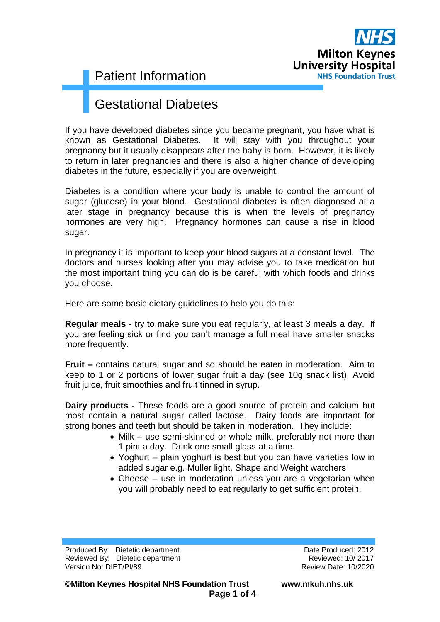

### Gestational Diabetes

If you have developed diabetes since you became pregnant, you have what is known as Gestational Diabetes. It will stay with you throughout your pregnancy but it usually disappears after the baby is born. However, it is likely to return in later pregnancies and there is also a higher chance of developing diabetes in the future, especially if you are overweight.

Diabetes is a condition where your body is unable to control the amount of sugar (glucose) in your blood. Gestational diabetes is often diagnosed at a later stage in pregnancy because this is when the levels of pregnancy hormones are very high. Pregnancy hormones can cause a rise in blood sugar.

In pregnancy it is important to keep your blood sugars at a constant level. The doctors and nurses looking after you may advise you to take medication but the most important thing you can do is be careful with which foods and drinks you choose.

Here are some basic dietary guidelines to help you do this:

**Regular meals -** try to make sure you eat regularly, at least 3 meals a day. If you are feeling sick or find you can't manage a full meal have smaller snacks more frequently.

**Fruit –** contains natural sugar and so should be eaten in moderation. Aim to keep to 1 or 2 portions of lower sugar fruit a day (see 10g snack list). Avoid fruit juice, fruit smoothies and fruit tinned in syrup.

**Dairy products -** These foods are a good source of protein and calcium but most contain a natural sugar called lactose. Dairy foods are important for strong bones and teeth but should be taken in moderation. They include:

- Milk use semi-skinned or whole milk, preferably not more than 1 pint a day. Drink one small glass at a time.
- Yoghurt plain yoghurt is best but you can have varieties low in added sugar e.g. Muller light, Shape and Weight watchers
- Cheese use in moderation unless you are a vegetarian when you will probably need to eat regularly to get sufficient protein.

Produced By: Dietetic department Date Produced: 2012 Reviewed By: Dietetic department **Reviewed: 10/2017** Reviewed: 10/2017 Version No: DIET/PI/89 Review Date: 10/2020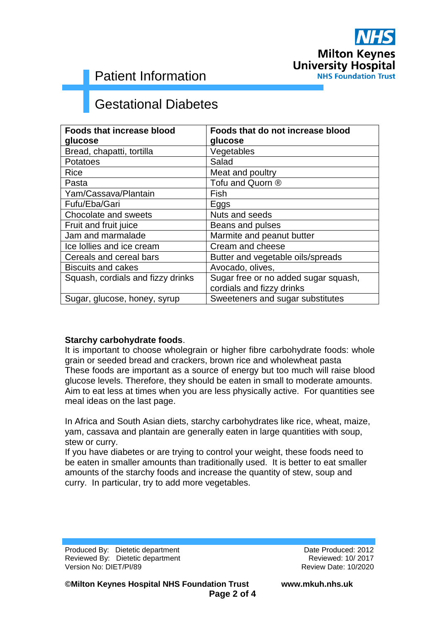

# Gestational Diabetes

| <b>Foods that increase blood</b>  | Foods that do not increase blood     |
|-----------------------------------|--------------------------------------|
| glucose                           | glucose                              |
| Bread, chapatti, tortilla         | Vegetables                           |
| <b>Potatoes</b>                   | Salad                                |
| Rice                              | Meat and poultry                     |
| Pasta                             | Tofu and Quorn ®                     |
| Yam/Cassava/Plantain              | Fish                                 |
| Fufu/Eba/Gari                     | Eggs                                 |
| Chocolate and sweets              | Nuts and seeds                       |
| Fruit and fruit juice             | Beans and pulses                     |
| Jam and marmalade                 | Marmite and peanut butter            |
| Ice Iollies and ice cream         | Cream and cheese                     |
| Cereals and cereal bars           | Butter and vegetable oils/spreads    |
| <b>Biscuits and cakes</b>         | Avocado, olives,                     |
| Squash, cordials and fizzy drinks | Sugar free or no added sugar squash, |
|                                   | cordials and fizzy drinks            |
| Sugar, glucose, honey, syrup      | Sweeteners and sugar substitutes     |

#### **Starchy carbohydrate foods**.

It is important to choose wholegrain or higher fibre carbohydrate foods: whole grain or seeded bread and crackers, brown rice and wholewheat pasta These foods are important as a source of energy but too much will raise blood glucose levels. Therefore, they should be eaten in small to moderate amounts. Aim to eat less at times when you are less physically active. For quantities see meal ideas on the last page.

In Africa and South Asian diets, starchy carbohydrates like rice, wheat, maize, yam, cassava and plantain are generally eaten in large quantities with soup, stew or curry.

If you have diabetes or are trying to control your weight, these foods need to be eaten in smaller amounts than traditionally used. It is better to eat smaller amounts of the starchy foods and increase the quantity of stew, soup and curry. In particular, try to add more vegetables.

Produced By: Dietetic department Date Produced: 2012 Reviewed By: Dietetic department **Reviewed: 10/2017** Reviewed: 10/2017 Version No: DIET/PI/89 Review Date: 10/2020

**©Milton Keynes Hospital NHS Foundation Trust www.mkuh.nhs.uk Page 2 of 4**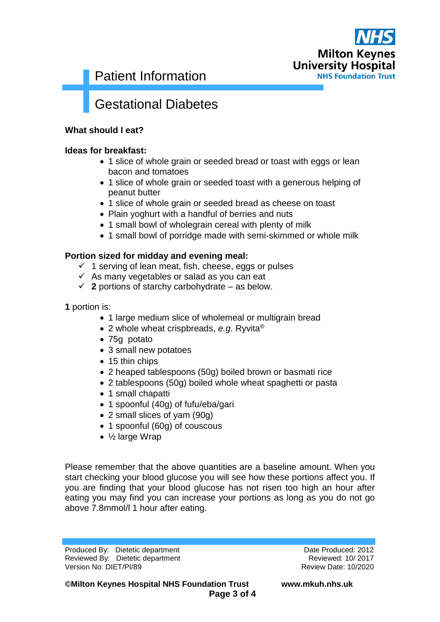

## Gestational Diabetes

#### **What should I eat?**

#### **Ideas for breakfast:**

- 1 slice of whole grain or seeded bread or toast with eggs or lean bacon and tomatoes
- 1 slice of whole grain or seeded toast with a generous helping of peanut butter
- 1 slice of whole grain or seeded bread as cheese on toast
- Plain yoghurt with a handful of berries and nuts
- 1 small bowl of wholegrain cereal with plenty of milk
- 1 small bowl of porridge made with semi-skimmed or whole milk

#### **Portion sized for midday and evening meal:**

- $\checkmark$  1 serving of lean meat, fish, cheese, eggs or pulses
- $\checkmark$  As many vegetables or salad as you can eat
- $\checkmark$  2 portions of starchy carbohydrate as below.

**1** portion is:

- 1 large medium slice of wholemeal or multigrain bread
- 2 whole wheat crispbreads, *e.g.* Ryvita®
- 75g potato
- 3 small new potatoes
- 15 thin chips
- 2 heaped tablespoons (50g) boiled brown or basmati rice
- 2 tablespoons (50g) boiled whole wheat spaghetti or pasta
- 1 small chapatti
- 1 spoonful (40g) of fufu/eba/gari
- 2 small slices of yam (90g)
- 1 spoonful (60g) of couscous
- ½ large Wrap

Please remember that the above quantities are a baseline amount. When you start checking your blood glucose you will see how these portions affect you. If you are finding that your blood glucose has not risen too high an hour after eating you may find you can increase your portions as long as you do not go above 7.8mmol/l 1 hour after eating.

Produced By: Dietetic department Date Produced: 2012 Reviewed By: Dietetic department **Reviewed: 10/2017** Reviewed: 10/2017 Version No: DIET/PI/89 Review Date: 10/2020

**©Milton Keynes Hospital NHS Foundation Trust www.mkuh.nhs.uk Page 3 of 4**